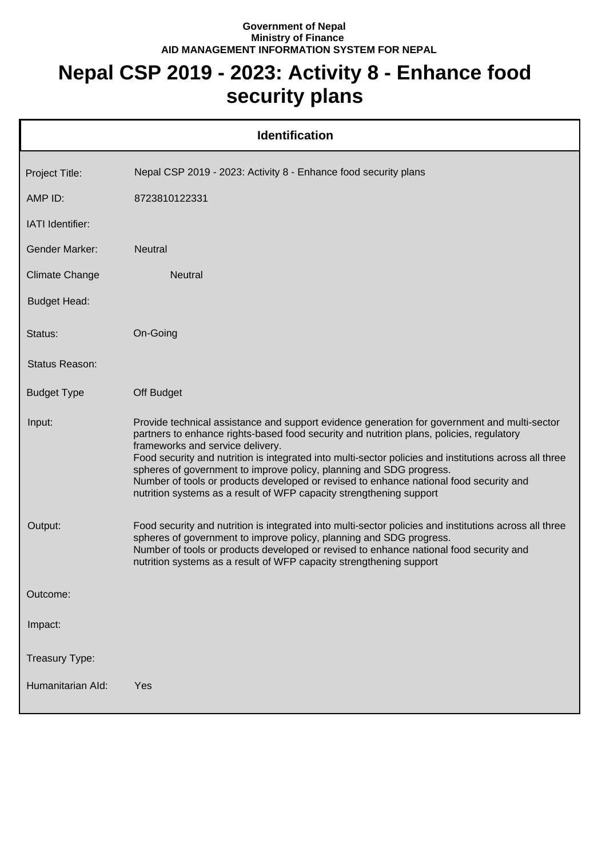## **Government of Nepal Ministry of Finance AID MANAGEMENT INFORMATION SYSTEM FOR NEPAL**

## **Nepal CSP 2019 - 2023: Activity 8 - Enhance food security plans**

| <b>Identification</b>   |                                                                                                                                                                                                                                                                                                                                                                                                                                                                                                                                                                                |  |
|-------------------------|--------------------------------------------------------------------------------------------------------------------------------------------------------------------------------------------------------------------------------------------------------------------------------------------------------------------------------------------------------------------------------------------------------------------------------------------------------------------------------------------------------------------------------------------------------------------------------|--|
| Project Title:          | Nepal CSP 2019 - 2023: Activity 8 - Enhance food security plans                                                                                                                                                                                                                                                                                                                                                                                                                                                                                                                |  |
| AMP ID:                 | 8723810122331                                                                                                                                                                                                                                                                                                                                                                                                                                                                                                                                                                  |  |
| <b>IATI</b> Identifier: |                                                                                                                                                                                                                                                                                                                                                                                                                                                                                                                                                                                |  |
| <b>Gender Marker:</b>   | <b>Neutral</b>                                                                                                                                                                                                                                                                                                                                                                                                                                                                                                                                                                 |  |
| <b>Climate Change</b>   | <b>Neutral</b>                                                                                                                                                                                                                                                                                                                                                                                                                                                                                                                                                                 |  |
| <b>Budget Head:</b>     |                                                                                                                                                                                                                                                                                                                                                                                                                                                                                                                                                                                |  |
| Status:                 | On-Going                                                                                                                                                                                                                                                                                                                                                                                                                                                                                                                                                                       |  |
| Status Reason:          |                                                                                                                                                                                                                                                                                                                                                                                                                                                                                                                                                                                |  |
| <b>Budget Type</b>      | Off Budget                                                                                                                                                                                                                                                                                                                                                                                                                                                                                                                                                                     |  |
| Input:                  | Provide technical assistance and support evidence generation for government and multi-sector<br>partners to enhance rights-based food security and nutrition plans, policies, regulatory<br>frameworks and service delivery.<br>Food security and nutrition is integrated into multi-sector policies and institutions across all three<br>spheres of government to improve policy, planning and SDG progress.<br>Number of tools or products developed or revised to enhance national food security and<br>nutrition systems as a result of WFP capacity strengthening support |  |
| Output:                 | Food security and nutrition is integrated into multi-sector policies and institutions across all three<br>spheres of government to improve policy, planning and SDG progress.<br>Number of tools or products developed or revised to enhance national food security and<br>nutrition systems as a result of WFP capacity strengthening support                                                                                                                                                                                                                                 |  |
| Outcome:                |                                                                                                                                                                                                                                                                                                                                                                                                                                                                                                                                                                                |  |
| Impact:                 |                                                                                                                                                                                                                                                                                                                                                                                                                                                                                                                                                                                |  |
| Treasury Type:          |                                                                                                                                                                                                                                                                                                                                                                                                                                                                                                                                                                                |  |
| Humanitarian Ald:       | Yes                                                                                                                                                                                                                                                                                                                                                                                                                                                                                                                                                                            |  |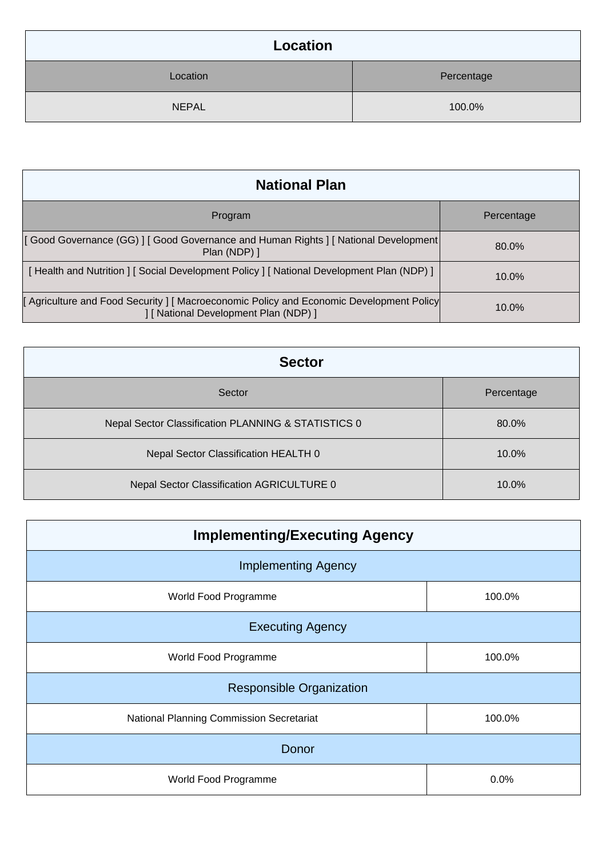| Location     |            |  |
|--------------|------------|--|
| Location     | Percentage |  |
| <b>NEPAL</b> | 100.0%     |  |

| <b>National Plan</b>                                                                                                          |            |  |
|-------------------------------------------------------------------------------------------------------------------------------|------------|--|
| Program                                                                                                                       | Percentage |  |
| [Good Governance (GG)   [Good Governance and Human Rights   [National Development]<br>Plan (NDP) ]                            | 80.0%      |  |
| [Health and Nutrition ] [Social Development Policy ] [National Development Plan (NDP) ]                                       | $10.0\%$   |  |
| Agriculture and Food Security   Macroeconomic Policy and Economic Development Policy<br>] [ National Development Plan (NDP) ] | 10.0%      |  |

| <b>Sector</b>                                       |            |  |
|-----------------------------------------------------|------------|--|
| Sector                                              | Percentage |  |
| Nepal Sector Classification PLANNING & STATISTICS 0 | 80.0%      |  |
| Nepal Sector Classification HEALTH 0                | 10.0%      |  |
| Nepal Sector Classification AGRICULTURE 0           | 10.0%      |  |

| <b>Implementing/Executing Agency</b>     |        |  |
|------------------------------------------|--------|--|
| <b>Implementing Agency</b>               |        |  |
| World Food Programme                     | 100.0% |  |
| <b>Executing Agency</b>                  |        |  |
| World Food Programme                     | 100.0% |  |
| <b>Responsible Organization</b>          |        |  |
| National Planning Commission Secretariat | 100.0% |  |
| Donor                                    |        |  |
| World Food Programme                     | 0.0%   |  |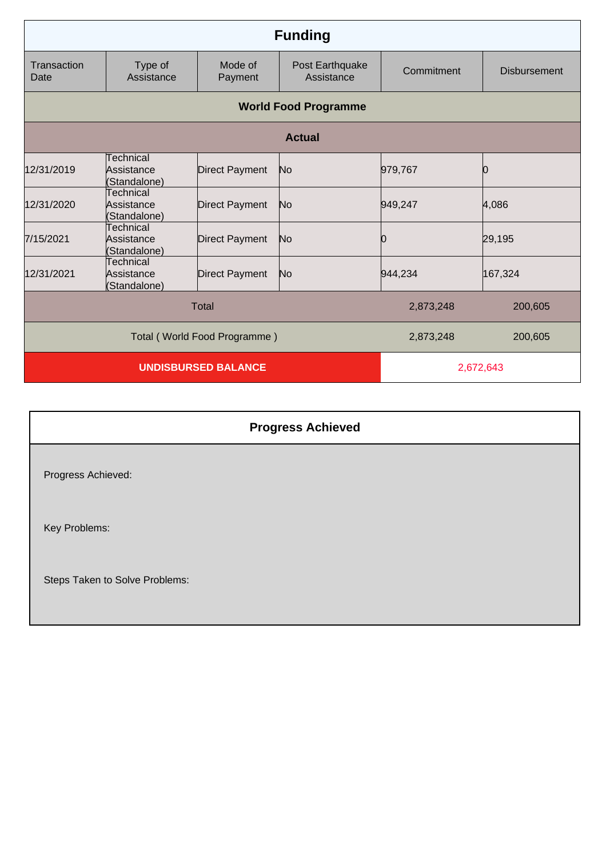| <b>Funding</b>              |                                         |                              |                               |            |                     |
|-----------------------------|-----------------------------------------|------------------------------|-------------------------------|------------|---------------------|
| Transaction<br>Date         | Type of<br>Assistance                   | Mode of<br>Payment           | Post Earthquake<br>Assistance | Commitment | <b>Disbursement</b> |
| <b>World Food Programme</b> |                                         |                              |                               |            |                     |
|                             |                                         |                              | <b>Actual</b>                 |            |                     |
| 12/31/2019                  | Technical<br>Assistance<br>(Standalone) | <b>Direct Payment</b>        | N <sub>o</sub>                | 979,767    | Ю                   |
| 12/31/2020                  | Technical<br>Assistance<br>(Standalone) | <b>Direct Payment</b>        | No                            | 949,247    | 4,086               |
| 7/15/2021                   | Technical<br>Assistance<br>(Standalone) | <b>Direct Payment</b>        | N <sub>o</sub>                | 0          | 29,195              |
| 12/31/2021                  | Technical<br>Assistance<br>(Standalone) | <b>Direct Payment</b>        | No                            | 944,234    | 167,324             |
|                             |                                         | <b>Total</b>                 |                               | 2,873,248  | 200,605             |
|                             |                                         | Total (World Food Programme) |                               | 2,873,248  | 200,605             |
|                             |                                         | <b>UNDISBURSED BALANCE</b>   |                               | 2,672,643  |                     |

## **Progress Achieved** Progress Achieved: Key Problems: Steps Taken to Solve Problems: